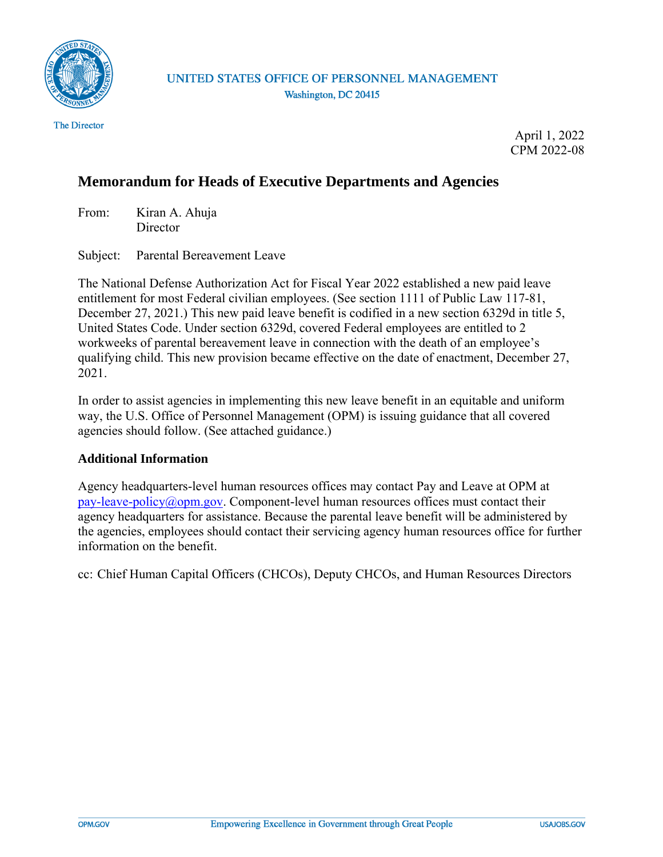

April 1, 2022 CPM 2022-08

## **Memorandum for Heads of Executive Departments and Agencies**

From: Kiran A. Ahuja **Director** 

Subject: Parental Bereavement Leave

The National Defense Authorization Act for Fiscal Year 2022 established a new paid leave entitlement for most Federal civilian employees. (See section 1111 of Public Law 117-81, December 27, 2021.) This new paid leave benefit is codified in a new section 6329d in title 5, United States Code. Under section 6329d, covered Federal employees are entitled to 2 workweeks of parental bereavement leave in connection with the death of an employee's qualifying child. This new provision became effective on the date of enactment, December 27, 2021.

In order to assist agencies in implementing this new leave benefit in an equitable and uniform way, the U.S. Office of Personnel Management (OPM) is issuing guidance that all covered agencies should follow. (See attached guidance.)

### **Additional Information**

Agency headquarters-level human resources offices may contact Pay and Leave at OPM at  $pay-leave-policy@opm.gov. Component-level human resources offices must contact their$  $pay-leave-policy@opm.gov. Component-level human resources offices must contact their$ agency headquarters for assistance. Because the parental leave benefit will be administered by the agencies, employees should contact their servicing agency human resources office for further information on the benefit.

cc: Chief Human Capital Officers (CHCOs), Deputy CHCOs, and Human Resources Directors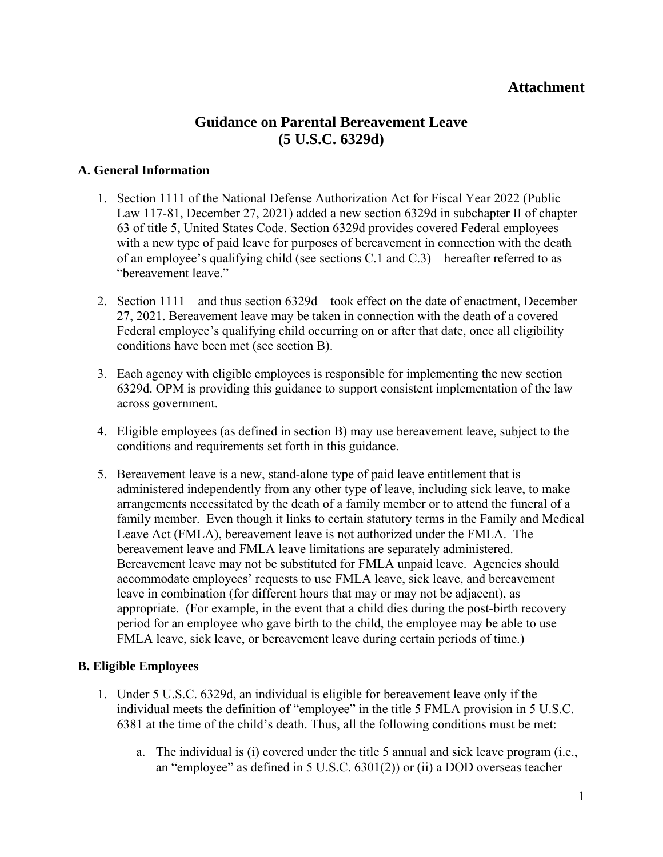### **Attachment**

# **Guidance on Parental Bereavement Leave (5 U.S.C. 6329d)**

#### **A. General Information**

- 1. Section 1111 of the National Defense Authorization Act for Fiscal Year 2022 (Public Law 117-81, December 27, 2021) added a new section 6329d in subchapter II of chapter 63 of title 5, United States Code. Section 6329d provides covered Federal employees with a new type of paid leave for purposes of bereavement in connection with the death of an employee's qualifying child (see sections C.1 and C.3)—hereafter referred to as "bereavement leave."
- 2. Section 1111—and thus section 6329d—took effect on the date of enactment, December 27, 2021. Bereavement leave may be taken in connection with the death of a covered Federal employee's qualifying child occurring on or after that date, once all eligibility conditions have been met (see section B).
- 3. Each agency with eligible employees is responsible for implementing the new section 6329d. OPM is providing this guidance to support consistent implementation of the law across government.
- 4. Eligible employees (as defined in section B) may use bereavement leave, subject to the conditions and requirements set forth in this guidance.
- 5. Bereavement leave is a new, stand-alone type of paid leave entitlement that is administered independently from any other type of leave, including sick leave, to make arrangements necessitated by the death of a family member or to attend the funeral of a family member. Even though it links to certain statutory terms in the Family and Medical Leave Act (FMLA), bereavement leave is not authorized under the FMLA. The bereavement leave and FMLA leave limitations are separately administered. Bereavement leave may not be substituted for FMLA unpaid leave. Agencies should accommodate employees' requests to use FMLA leave, sick leave, and bereavement leave in combination (for different hours that may or may not be adjacent), as appropriate. (For example, in the event that a child dies during the post-birth recovery period for an employee who gave birth to the child, the employee may be able to use FMLA leave, sick leave, or bereavement leave during certain periods of time.)

### **B. Eligible Employees**

- 1. Under 5 U.S.C. 6329d, an individual is eligible for bereavement leave only if the individual meets the definition of "employee" in the title 5 FMLA provision in 5 U.S.C. 6381 at the time of the child's death. Thus, all the following conditions must be met:
	- a. The individual is (i) covered under the title 5 annual and sick leave program (i.e., an "employee" as defined in 5 U.S.C. 6301(2)) or (ii) a DOD overseas teacher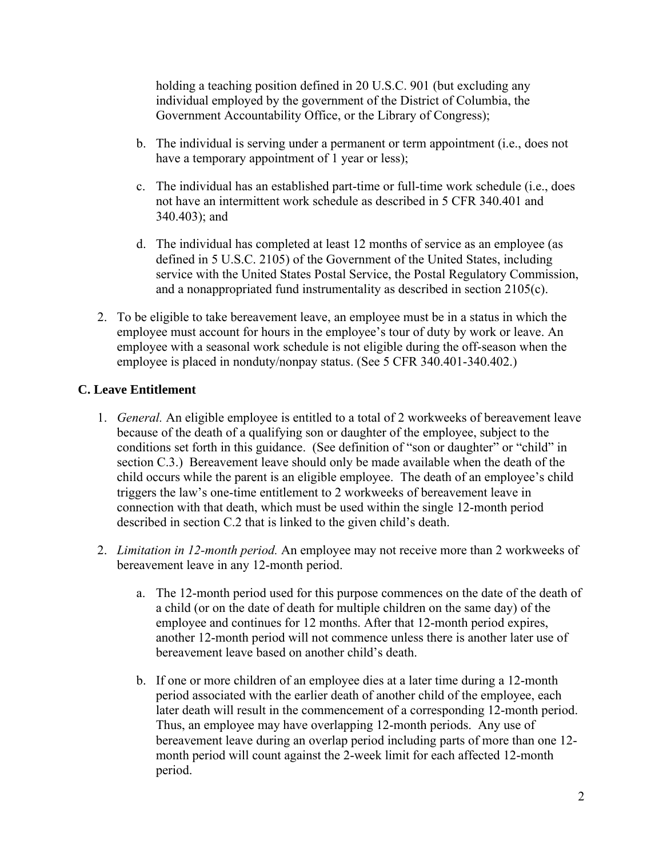holding a teaching position defined in 20 U.S.C. 901 (but excluding any individual employed by the government of the District of Columbia, the Government Accountability Office, or the Library of Congress);

- b. The individual is serving under a permanent or term appointment (i.e., does not have a temporary appointment of 1 year or less);
- c. The individual has an established part-time or full-time work schedule (i.e., does not have an intermittent work schedule as described in 5 CFR 340.401 and 340.403); and
- d. The individual has completed at least 12 months of service as an employee (as defined in 5 U.S.C. 2105) of the Government of the United States, including service with the United States Postal Service, the Postal Regulatory Commission, and a nonappropriated fund instrumentality as described in section 2105(c).
- 2. To be eligible to take bereavement leave, an employee must be in a status in which the employee must account for hours in the employee's tour of duty by work or leave. An employee with a seasonal work schedule is not eligible during the off-season when the employee is placed in nonduty/nonpay status. (See 5 CFR 340.401-340.402.)

### **C. Leave Entitlement**

- 1. *General.* An eligible employee is entitled to a total of 2 workweeks of bereavement leave because of the death of a qualifying son or daughter of the employee, subject to the conditions set forth in this guidance. (See definition of "son or daughter" or "child" in section C.3.) Bereavement leave should only be made available when the death of the child occurs while the parent is an eligible employee. The death of an employee's child triggers the law's one-time entitlement to 2 workweeks of bereavement leave in connection with that death, which must be used within the single 12-month period described in section C.2 that is linked to the given child's death.
- 2. *Limitation in 12-month period.* An employee may not receive more than 2 workweeks of bereavement leave in any 12-month period.
	- a. The 12-month period used for this purpose commences on the date of the death of a child (or on the date of death for multiple children on the same day) of the employee and continues for 12 months. After that 12-month period expires, another 12-month period will not commence unless there is another later use of bereavement leave based on another child's death.
	- b. If one or more children of an employee dies at a later time during a 12-month period associated with the earlier death of another child of the employee, each later death will result in the commencement of a corresponding 12-month period. Thus, an employee may have overlapping 12-month periods. Any use of bereavement leave during an overlap period including parts of more than one 12 month period will count against the 2-week limit for each affected 12-month period.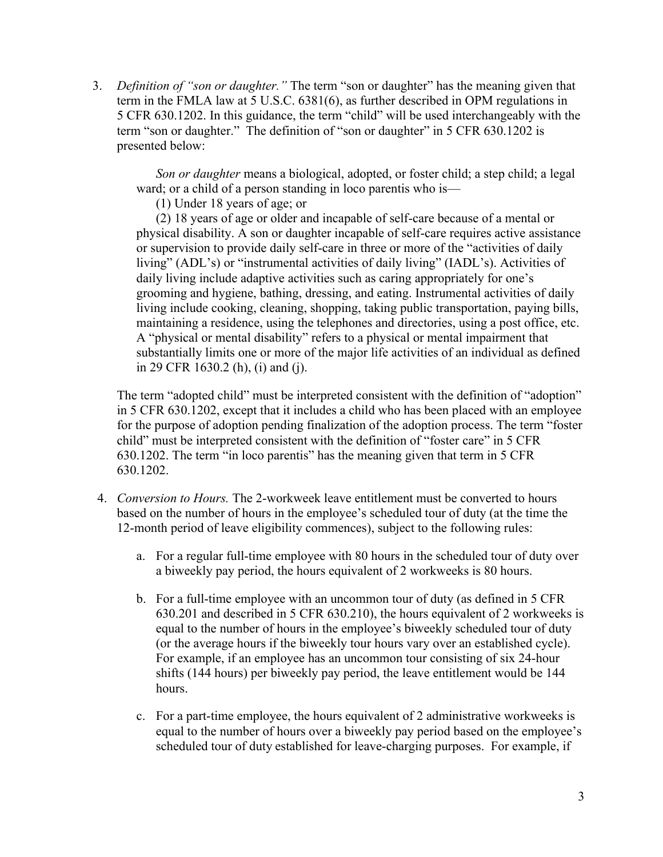3. *Definition of "son or daughter."* The term "son or daughter" has the meaning given that term in the FMLA law at 5 U.S.C. 6381(6), as further described in OPM regulations in 5 CFR 630.1202. In this guidance, the term "child" will be used interchangeably with the term "son or daughter." The definition of "son or daughter" in 5 CFR 630.1202 is presented below:

*Son or daughter* means a biological, adopted, or foster child; a step child; a legal ward; or a child of a person standing in loco parentis who is—

(1) Under 18 years of age; or

(2) 18 years of age or older and incapable of self-care because of a mental or physical disability. A son or daughter incapable of self-care requires active assistance or supervision to provide daily self-care in three or more of the "activities of daily living" (ADL's) or "instrumental activities of daily living" (IADL's). Activities of daily living include adaptive activities such as caring appropriately for one's grooming and hygiene, bathing, dressing, and eating. Instrumental activities of daily living include cooking, cleaning, shopping, taking public transportation, paying bills, maintaining a residence, using the telephones and directories, using a post office, etc. A "physical or mental disability" refers to a physical or mental impairment that substantially limits one or more of the major life activities of an individual as defined in 29 CFR 1630.2 (h), (i) and (j).

The term "adopted child" must be interpreted consistent with the definition of "adoption" in 5 CFR 630.1202, except that it includes a child who has been placed with an employee for the purpose of adoption pending finalization of the adoption process. The term "foster child" must be interpreted consistent with the definition of "foster care" in 5 CFR 630.1202. The term "in loco parentis" has the meaning given that term in 5 CFR 630.1202.

- 4. *Conversion to Hours.* The 2-workweek leave entitlement must be converted to hours based on the number of hours in the employee's scheduled tour of duty (at the time the 12-month period of leave eligibility commences), subject to the following rules:
	- a. For a regular full-time employee with 80 hours in the scheduled tour of duty over a biweekly pay period, the hours equivalent of 2 workweeks is 80 hours.
	- b. For a full-time employee with an uncommon tour of duty (as defined in 5 CFR 630.201 and described in 5 CFR 630.210), the hours equivalent of 2 workweeks is equal to the number of hours in the employee's biweekly scheduled tour of duty (or the average hours if the biweekly tour hours vary over an established cycle). For example, if an employee has an uncommon tour consisting of six 24-hour shifts (144 hours) per biweekly pay period, the leave entitlement would be 144 hours.
	- c. For a part-time employee, the hours equivalent of 2 administrative workweeks is equal to the number of hours over a biweekly pay period based on the employee's scheduled tour of duty established for leave-charging purposes. For example, if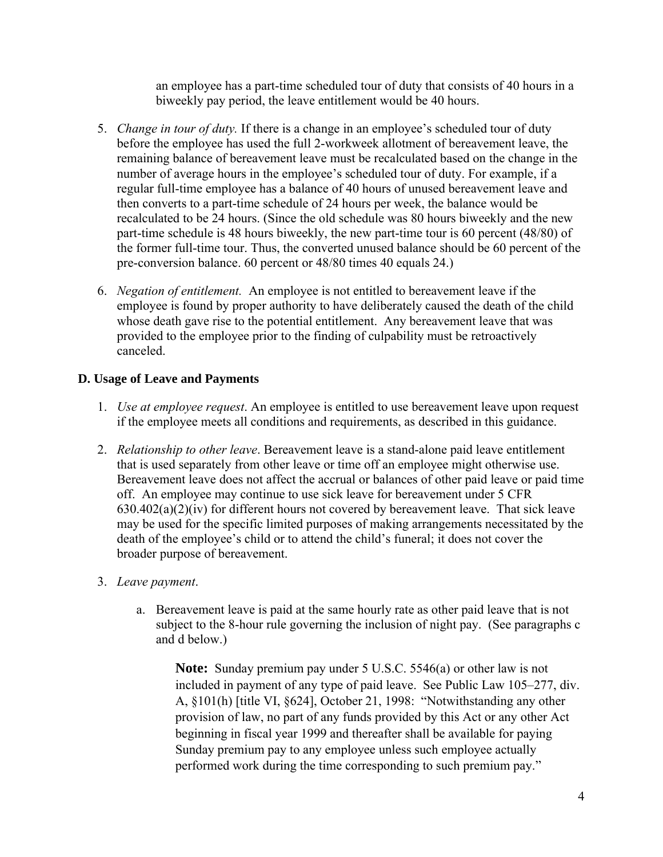an employee has a part-time scheduled tour of duty that consists of 40 hours in a biweekly pay period, the leave entitlement would be 40 hours.

- 5. *Change in tour of duty.* If there is a change in an employee's scheduled tour of duty before the employee has used the full 2-workweek allotment of bereavement leave, the remaining balance of bereavement leave must be recalculated based on the change in the number of average hours in the employee's scheduled tour of duty. For example, if a regular full-time employee has a balance of 40 hours of unused bereavement leave and then converts to a part-time schedule of 24 hours per week, the balance would be recalculated to be 24 hours. (Since the old schedule was 80 hours biweekly and the new part-time schedule is 48 hours biweekly, the new part-time tour is 60 percent (48/80) of the former full-time tour. Thus, the converted unused balance should be 60 percent of the pre-conversion balance. 60 percent or 48/80 times 40 equals 24.)
- 6. *Negation of entitlement.* An employee is not entitled to bereavement leave if the employee is found by proper authority to have deliberately caused the death of the child whose death gave rise to the potential entitlement. Any bereavement leave that was provided to the employee prior to the finding of culpability must be retroactively canceled.

### **D. Usage of Leave and Payments**

- 1. *Use at employee request*. An employee is entitled to use bereavement leave upon request if the employee meets all conditions and requirements, as described in this guidance.
- 2. *Relationship to other leave*. Bereavement leave is a stand-alone paid leave entitlement that is used separately from other leave or time off an employee might otherwise use. Bereavement leave does not affect the accrual or balances of other paid leave or paid time off. An employee may continue to use sick leave for bereavement under 5 CFR  $630.402(a)(2)(iv)$  for different hours not covered by bereavement leave. That sick leave may be used for the specific limited purposes of making arrangements necessitated by the death of the employee's child or to attend the child's funeral; it does not cover the broader purpose of bereavement.

### 3. *Leave payment*.

a. Bereavement leave is paid at the same hourly rate as other paid leave that is not subject to the 8-hour rule governing the inclusion of night pay. (See paragraphs c and d below.)

**Note:** Sunday premium pay under 5 U.S.C. 5546(a) or other law is not included in payment of any type of paid leave. See Public Law 105–277, div. A, §101(h) [title VI, §624], October 21, 1998: "Notwithstanding any other provision of law, no part of any funds provided by this Act or any other Act beginning in fiscal year 1999 and thereafter shall be available for paying Sunday premium pay to any employee unless such employee actually performed work during the time corresponding to such premium pay."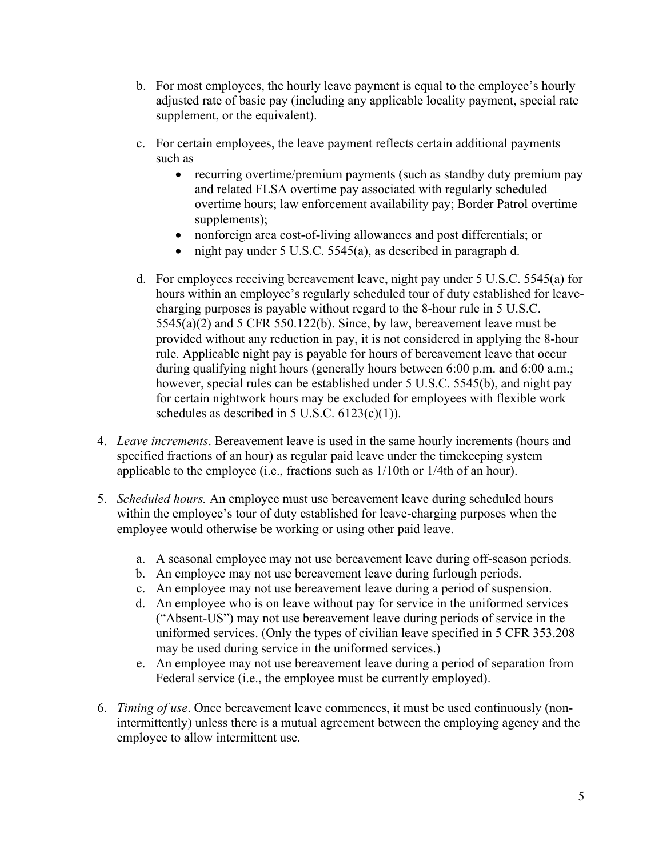- b. For most employees, the hourly leave payment is equal to the employee's hourly adjusted rate of basic pay (including any applicable locality payment, special rate supplement, or the equivalent).
- c. For certain employees, the leave payment reflects certain additional payments such as—
	- recurring overtime/premium payments (such as standby duty premium pay and related FLSA overtime pay associated with regularly scheduled overtime hours; law enforcement availability pay; Border Patrol overtime supplements);
	- nonforeign area cost-of-living allowances and post differentials; or
	- night pay under 5 U.S.C. 5545(a), as described in paragraph d.
- d. For employees receiving bereavement leave, night pay under 5 U.S.C. 5545(a) for hours within an employee's regularly scheduled tour of duty established for leavecharging purposes is payable without regard to the 8-hour rule in 5 U.S.C. 5545(a)(2) and 5 CFR 550.122(b). Since, by law, bereavement leave must be provided without any reduction in pay, it is not considered in applying the 8-hour rule. Applicable night pay is payable for hours of bereavement leave that occur during qualifying night hours (generally hours between 6:00 p.m. and 6:00 a.m.; however, special rules can be established under 5 U.S.C. 5545(b), and night pay for certain nightwork hours may be excluded for employees with flexible work schedules as described in 5 U.S.C.  $6123(c)(1)$ ).
- 4. *Leave increments*. Bereavement leave is used in the same hourly increments (hours and specified fractions of an hour) as regular paid leave under the timekeeping system applicable to the employee (i.e., fractions such as 1/10th or 1/4th of an hour).
- 5. *Scheduled hours.* An employee must use bereavement leave during scheduled hours within the employee's tour of duty established for leave-charging purposes when the employee would otherwise be working or using other paid leave.
	- a. A seasonal employee may not use bereavement leave during off-season periods.
	- b. An employee may not use bereavement leave during furlough periods.
	- c. An employee may not use bereavement leave during a period of suspension.
	- d. An employee who is on leave without pay for service in the uniformed services ("Absent-US") may not use bereavement leave during periods of service in the uniformed services. (Only the types of civilian leave specified in 5 CFR 353.208 may be used during service in the uniformed services.)
	- e. An employee may not use bereavement leave during a period of separation from Federal service (i.e., the employee must be currently employed).
- 6. *Timing of use*. Once bereavement leave commences, it must be used continuously (nonintermittently) unless there is a mutual agreement between the employing agency and the employee to allow intermittent use.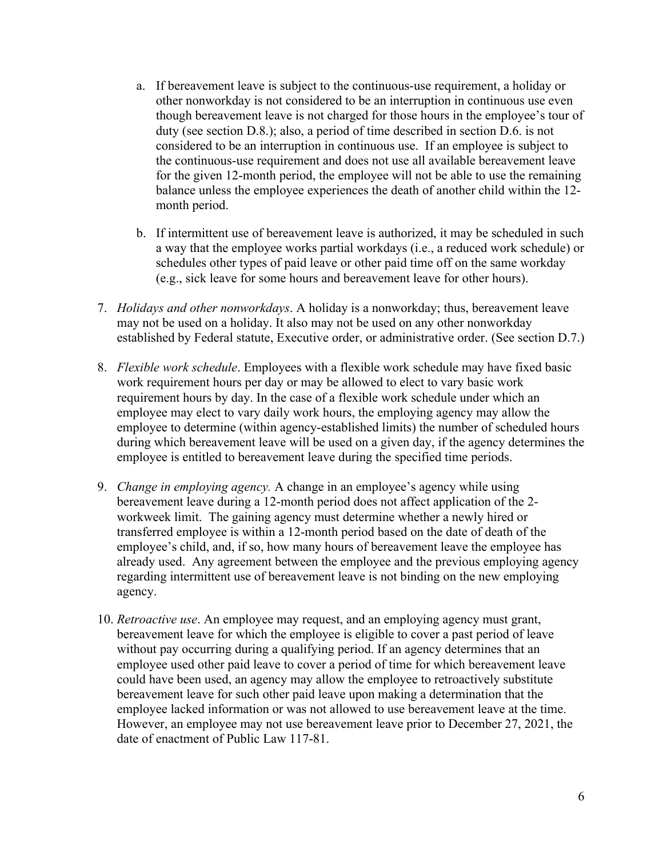- a. If bereavement leave is subject to the continuous-use requirement, a holiday or other nonworkday is not considered to be an interruption in continuous use even though bereavement leave is not charged for those hours in the employee's tour of duty (see section D.8.); also, a period of time described in section D.6. is not considered to be an interruption in continuous use. If an employee is subject to the continuous-use requirement and does not use all available bereavement leave for the given 12-month period, the employee will not be able to use the remaining balance unless the employee experiences the death of another child within the 12 month period.
- b. If intermittent use of bereavement leave is authorized, it may be scheduled in such a way that the employee works partial workdays (i.e., a reduced work schedule) or schedules other types of paid leave or other paid time off on the same workday (e.g., sick leave for some hours and bereavement leave for other hours).
- 7. *Holidays and other nonworkdays*. A holiday is a nonworkday; thus, bereavement leave may not be used on a holiday. It also may not be used on any other nonworkday established by Federal statute, Executive order, or administrative order. (See section D.7.)
- 8. *Flexible work schedule*. Employees with a flexible work schedule may have fixed basic work requirement hours per day or may be allowed to elect to vary basic work requirement hours by day. In the case of a flexible work schedule under which an employee may elect to vary daily work hours, the employing agency may allow the employee to determine (within agency-established limits) the number of scheduled hours during which bereavement leave will be used on a given day, if the agency determines the employee is entitled to bereavement leave during the specified time periods.
- 9. *Change in employing agency.* A change in an employee's agency while using bereavement leave during a 12-month period does not affect application of the 2 workweek limit. The gaining agency must determine whether a newly hired or transferred employee is within a 12-month period based on the date of death of the employee's child, and, if so, how many hours of bereavement leave the employee has already used. Any agreement between the employee and the previous employing agency regarding intermittent use of bereavement leave is not binding on the new employing agency.
- 10. *Retroactive use*. An employee may request, and an employing agency must grant, bereavement leave for which the employee is eligible to cover a past period of leave without pay occurring during a qualifying period. If an agency determines that an employee used other paid leave to cover a period of time for which bereavement leave could have been used, an agency may allow the employee to retroactively substitute bereavement leave for such other paid leave upon making a determination that the employee lacked information or was not allowed to use bereavement leave at the time. However, an employee may not use bereavement leave prior to December 27, 2021, the date of enactment of Public Law 117-81.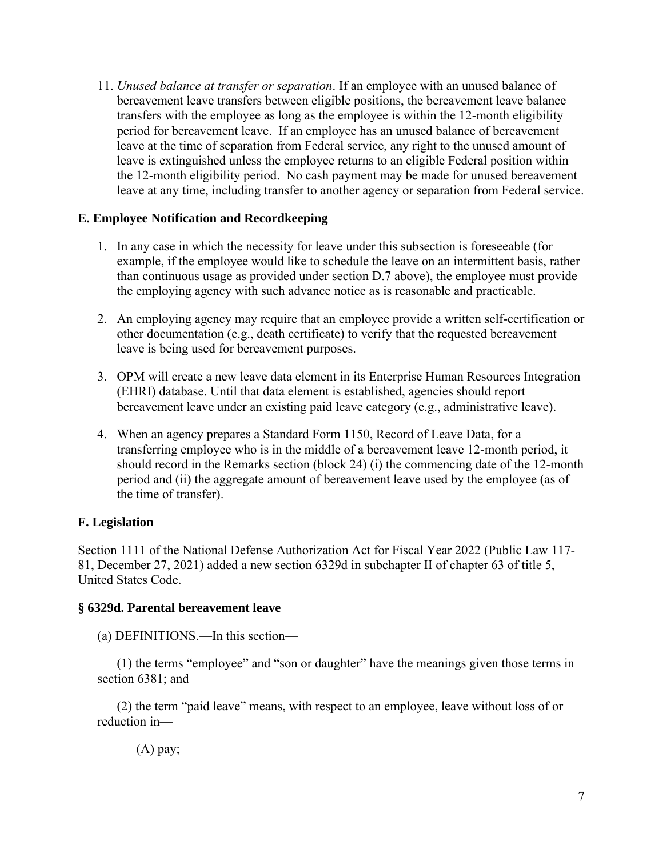11. *Unused balance at transfer or separation*. If an employee with an unused balance of bereavement leave transfers between eligible positions, the bereavement leave balance transfers with the employee as long as the employee is within the 12-month eligibility period for bereavement leave. If an employee has an unused balance of bereavement leave at the time of separation from Federal service, any right to the unused amount of leave is extinguished unless the employee returns to an eligible Federal position within the 12-month eligibility period. No cash payment may be made for unused bereavement leave at any time, including transfer to another agency or separation from Federal service.

#### **E. Employee Notification and Recordkeeping**

- 1. In any case in which the necessity for leave under this subsection is foreseeable (for example, if the employee would like to schedule the leave on an intermittent basis, rather than continuous usage as provided under section D.7 above), the employee must provide the employing agency with such advance notice as is reasonable and practicable.
- 2. An employing agency may require that an employee provide a written self-certification or other documentation (e.g., death certificate) to verify that the requested bereavement leave is being used for bereavement purposes.
- 3. OPM will create a new leave data element in its Enterprise Human Resources Integration (EHRI) database. Until that data element is established, agencies should report bereavement leave under an existing paid leave category (e.g., administrative leave).
- 4. When an agency prepares a Standard Form 1150, Record of Leave Data, for a transferring employee who is in the middle of a bereavement leave 12-month period, it should record in the Remarks section (block 24) (i) the commencing date of the 12-month period and (ii) the aggregate amount of bereavement leave used by the employee (as of the time of transfer).

### **F. Legislation**

Section 1111 of the National Defense Authorization Act for Fiscal Year 2022 (Public Law 117- 81, December 27, 2021) added a new section 6329d in subchapter II of chapter 63 of title 5, United States Code.

#### **§ 6329d. Parental bereavement leave**

(a) DEFINITIONS.—In this section—

(1) the terms "employee" and "son or daughter" have the meanings given those terms in section 6381; and

(2) the term "paid leave" means, with respect to an employee, leave without loss of or reduction in—

(A) pay;